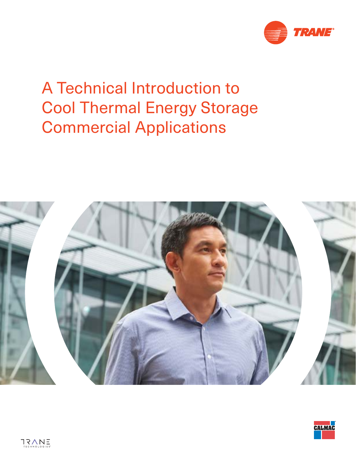

# A Technical Introduction to Cool Thermal Energy Storage Commercial Applications



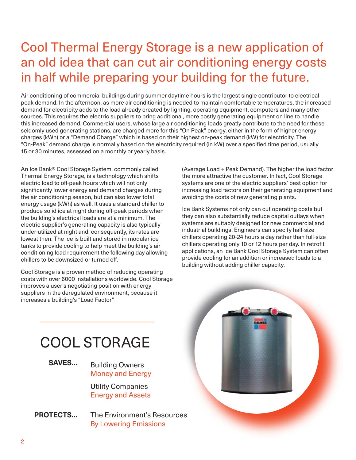## Cool Thermal Energy Storage is a new application of an old idea that can cut air conditioning energy costs in half while preparing your building for the future.

Air conditioning of commercial buildings during summer daytime hours is the largest single contributor to electrical peak demand. In the afternoon, as more air conditioning is needed to maintain comfortable temperatures, the increased demand for electricity adds to the load already created by lighting, operating equipment, computers and many other sources. This requires the electric suppliers to bring additional, more costly generating equipment on line to handle this increased demand. Commercial users, whose large air conditioning loads greatly contribute to the need for these seldomly used generating stations, are charged more for this "On Peak" energy, either in the form of higher energy charges (kWh) or a "Demand Charge" which is based on their highest on-peak demand (kW) for electricity. The "On-Peak" demand charge is normally based on the electricity required (in kW) over a specified time period, usually 15 or 30 minutes, assessed on a monthly or yearly basis.

An Ice Bank® Cool Storage System, commonly called Thermal Energy Storage, is a technology which shifts electric load to off-peak hours which will not only significantly lower energy and demand charges during the air conditioning season, but can also lower total energy usage (kWh) as well. It uses a standard chiller to produce solid ice at night during off-peak periods when the building's electrical loads are at a minimum. The electric supplier's generating capacity is also typically under-utilized at night and, consequently, its rates are lowest then. The ice is built and stored in modular ice tanks to provide cooling to help meet the building's air conditioning load requirement the following day allowing chillers to be downsized or turned off.

Cool Storage is a proven method of reducing operating costs with over 6000 installations worldwide. Cool Storage improves a user's negotiating position with energy suppliers in the deregulated environment, because it increases a building's "Load Factor"

(Average Load ÷ Peak Demand). The higher the load factor the more attractive the customer. In fact, Cool Storage systems are one of the electric suppliers' best option for increasing load factors on their generating equipment and avoiding the costs of new generating plants.

Ice Bank Systems not only can cut operating costs but they can also substantially reduce capital outlays when systems are suitably designed for new commercial and industrial buildings. Engineers can specify half-size chillers operating 20-24 hours a day rather than full-size chillers operating only 10 or 12 hours per day. In retrofit applications, an Ice Bank Cool Storage System can often provide cooling for an addition or increased loads to a building without adding chiller capacity.

## COOL STORAGE

**SAVES...** Building Owners Money and Energy

> Utility Companies Energy and Assets

**PROTECTS...** The Environment's Resources By Lowering Emissions

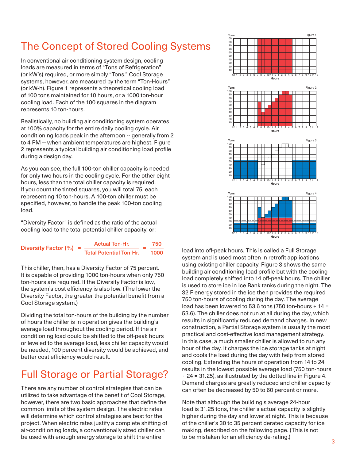### The Concept of Stored Cooling Systems

In conventional air conditioning system design, cooling loads are measured in terms of "Tons of Refrigeration" (or kW's) required, or more simply "Tons." Cool Storage systems, however, are measured by the term "Ton-Hours" (or kW-h). Figure 1 represents a theoretical cooling load of 100 tons maintained for 10 hours, or a 1000 ton-hour cooling load. Each of the 100 squares in the diagram represents 10 ton-hours.

Realistically, no building air conditioning system operates at 100% capacity for the entire daily cooling cycle. Air conditioning loads peak in the afternoon -- generally from 2 to 4 PM -- when ambient temperatures are highest. Figure 2 represents a typical building air conditioning load profile during a design day.

As you can see, the full 100-ton chiller capacity is needed for only two hours in the cooling cycle. For the other eight hours, less than the total chiller capacity is required. If you count the tinted squares, you will total 75, each representing 10 ton-hours. A 100-ton chiller must be specified, however, to handle the peak 100-ton cooling load.

"Diversity Factor" is defined as the ratio of the actual cooling load to the total potential chiller capacity, or:

| Diversity Factor $(\% )$ = | <b>Actual Ton-Hr.</b>          |  | 750  |
|----------------------------|--------------------------------|--|------|
|                            | <b>Total Potential Ton-Hr.</b> |  | 1000 |

This chiller, then, has a Diversity Factor of 75 percent. It is capable of providing 1000 ton-hours when only 750 ton-hours are required. If the Diversity Factor is low, the system's cost efficiency is also low. (The lower the Diversity Factor, the greater the potential benefit from a Cool Storage system.)

Dividing the total ton-hours of the building by the number of hours the chiller is in operation gives the building's average load throughout the cooling period. If the air conditioning load could be shifted to the off-peak hours or leveled to the average load, less chiller capacity would be needed, 100 percent diversity would be achieved, and better cost efficiency would result.

### Full Storage or Partial Storage?

There are any number of control strategies that can be utilized to take advantage of the benefit of Cool Storage, however, there are two basic approaches that define the common limits of the system design. The electric rates will determine which control strategies are best for the project. When electric rates justify a complete shifting of air-conditioning loads, a conventionally sized chiller can be used with enough energy storage to shift the entire



load into off-peak hours. This is called a Full Storage system and is used most often in retrofit applications using existing chiller capacity. Figure 3 shows the same building air conditioning load profile but with the cooling load completely shifted into 14 off-peak hours. The chiller is used to store ice in Ice Bank tanks during the night. The 32 F energy stored in the ice then provides the required 750 ton-hours of cooling during the day. The average load has been lowered to 53.6 tons (750 ton-hours ÷ 14 = 53.6). The chiller does not run at all during the day, which results in significantly reduced demand charges. In new construction, a Partial Storage system is usually the most practical and cost-effective load management strategy. In this case, a much smaller chiller is allowed to run any hour of the day. It charges the ice storage tanks at night and cools the load during the day with help from stored cooling. Extending the hours of operation from 14 to 24 results in the lowest possible average load (750 ton-hours ÷ 24 = 31.25), as illustrated by the dotted line in Figure 4. Demand charges are greatly reduced and chiller capacity can often be decreased by 50 to 60 percent or more.

Note that although the building's average 24-hour load is 31.25 tons, the chiller's actual capacity is slightly higher during the day and lower at night. This is because of the chiller's 30 to 35 percent derated capacity for ice making, described on the following page. (This is not to be mistaken for an efficiency de-rating.)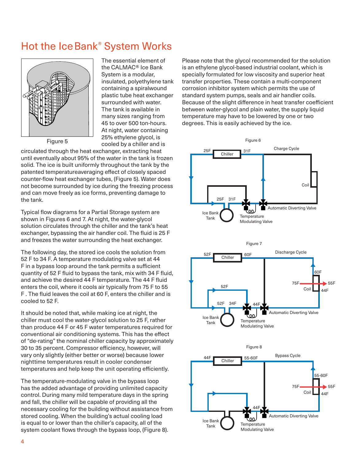### Hot the Ice Bank<sup>®</sup> System Works



Figure 5

The essential element of the CALMAC® Ice Bank System is a modular, insulated, polyethylene tank containing a spiralwound plastic tube heat exchanger surrounded with water. The tank is available in many sizes ranging from 45 to over 500 ton-hours. At night, water containing 25% ethylene glycol, is cooled by a chiller and is

circulated through the heat exchanger, extracting heat until eventually about 95% of the water in the tank is frozen solid. The ice is built uniformly throughout the tank by the patented temperatureaveraging effect of closely spaced counter-flow heat exchanger tubes, (Figure 5). Water does not become surrounded by ice during the freezing process and can move freely as ice forms, preventing damage to the tank.

Typical flow diagrams for a Partial Storage system are shown in Figures 6 and 7. At night, the water-glycol solution circulates through the chiller and the tank's heat exchanger, bypassing the air handler coil. The fluid is 25 F and freezes the water surrounding the heat exchanger.

The following day, the stored ice cools the solution from 52 F to 34 F. A temperature modulating valve set at 44 F in a bypass loop around the tank permits a sufficient quantity of 52 F fluid to bypass the tank, mix with 34 F fluid, and achieve the desired 44 F temperature. The 44 F fluid enters the coil, where it cools air typically from 75 F to 55 F . The fluid leaves the coil at 60 F, enters the chiller and is cooled to 52 F.

It should be noted that, while making ice at night, the chiller must cool the water-glycol solution to 25 F, rather than produce 44 F or 45 F water temperatures required for conventional air conditioning systems. This has the effect of "de-rating" the nominal chiller capacity by approximately 30 to 35 percent. Compressor efficiency, however, will vary only slightly (either better or worse) because lower nighttime temperatures result in cooler condenser temperatures and help keep the unit operating efficiently.

The temperature-modulating valve in the bypass loop has the added advantage of providing unlimited capacity control. During many mild temperature days in the spring and fall, the chiller will be capable of providing all the necessary cooling for the building without assistance from stored cooling. When the building's actual cooling load is equal to or lower than the chiller's capacity, all of the system coolant flows through the bypass loop, (Figure 8).

Please note that the glycol recommended for the solution is an ethylene glycol-based industrial coolant, which is specially formulated for low viscosity and superior heat transfer properties. These contain a multi-component corrosion inhibitor system which permits the use of standard system pumps, seals and air handler coils. Because of the slight difference in heat transfer coefficient between water-glycol and plain water, the supply liquid temperature may have to be lowered by one or two degrees. This is easily achieved by the ice.





Figure 8

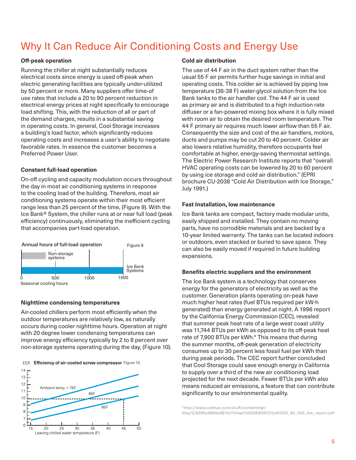### Why It Can Reduce Air Conditioning Costs and Energy Use

#### **Off-peak operation**

Running the chiller at night substantially reduces electrical costs since energy is used off-peak when electric generating facilities are typically under-utilized by 50 percent or more. Many suppliers offer time-of use rates that include a 20 to 90 percent reduction in electrical energy prices at night specifically to encourage load shifting. This, with the reduction of all or part of the demand charges, results in a substantial saving in operating costs. In general, Cool Storage increases a building's load factor, which significantly reduces operating costs and increases a user's ability to negotiate favorable rates. In essence the customer becomes a Preferred Power User.

#### **Constant full-load operation**

On-off cycling and capacity modulation occurs throughout the day in most air conditioning systems in response to the cooling load of the building. Therefore, most air conditioning systems operate within their most efficient range less than 25 percent of the time, (Figure 9). With the Ice Bank® System, the chiller runs at or near full load (peak efficiency) continuously, eliminating the inefficient cycling that accompanies part-load operation.



#### **Nighttime condensing temperatures**

Air-cooled chillers perform most efficiently when the outdoor temperatures are relatively low, as naturally occurs during cooler nighttime hours. Operation at night with 20 degree lower condensing temperatures can improve energy efficiency typically by 2 to 8 percent over non-storage systems operating during the day, (Figure 10).





#### **Cold air distribution**

The use of 44 F air in the duct system rather than the usual 55 F air permits further huge savings in initial and operating costs. This colder air is achieved by piping low temperature (36-38 F) water-glycol solution from the Ice Bank tanks to the air handler coil. The 44 F air is used as primary air and is distributed to a high induction rate diffuser or a fan-powered mixing box where it is fully mixed with room air to obtain the desired room temperature. The 44 F primary air requires much lower airflow than 55 F air. Consequently the size and cost of the air handlers, motors, ducts and pumps may be cut 20 to 40 percent. Colder air also lowers relative humidity, therefore occupants feel comfortable at higher, energy-saving thermostat settings. The Electric Power Research Institute reports that "overall HVAC operating costs can be lowered by 20 to 60 percent by using ice storage and cold air distribution." (EPRI brochure CU-2038 "Cold Air Distribution with Ice Storage," July 1991.)

#### **Fast Installation, low maintenance**

Ice Bank tanks are compact, factory made modular units, easily shipped and installed. They contain no moving parts, have no corrodible materials and are backed by a 10-year limited warranty. The tanks can be located indoors or outdoors, even stacked or buried to save space. They can also be easily moved if required in future building expansions.

#### **Benefits electric suppliers and the environment**

The Ice Bank system is a technology that conserves energy for the generators of electricity as well as the customer. Generation plants operating on-peak have much higher heat rates (fuel BTUs required per kW-h generated) than energy generated at night. A 1996 report by the California Energy Commission (CEC), revealed that summer peak heat rate of a large west coast utility was 11,744 BTUs per kWh as opposed to its off-peak heat rate of 7,900 BTUs per kWh.\* This means that during the summer months, off-peak generation of electricity consumes up to 30 percent less fossil fuel per kWh than during peak periods. The CEC report further concluded that Cool Storage could save enough energy in California to supply over a third of the new air conditioning load projected for the next decade. Fewer BTUs per kWh also means reduced air emissions, a feature that can contribute significantly to our environmental quality.

\*http://www.calmac.com/stuff/contentmgr/ files/0/6295c6899e887ed744ad1559383f0937/pdf/500\_95\_005\_tes\_report.pdf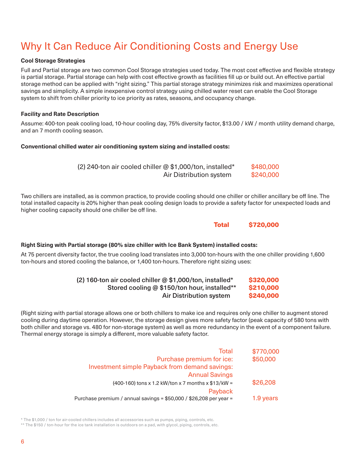### Why It Can Reduce Air Conditioning Costs and Energy Use

#### **Cool Storage Strategies**

Full and Partial storage are two common Cool Storage strategies used today. The most cost effective and flexible strategy is partial storage. Partial storage can help with cost effective growth as facilities fill up or build out. An effective partial storage method can be applied with "right sizing." This partial storage strategy minimizes risk and maximizes operational savings and simplicity. A simple inexpensive control strategy using chilled water reset can enable the Cool Storage system to shift from chiller priority to ice priority as rates, seasons, and occupancy change.

#### **Facility and Rate Description**

Assume: 400-ton peak cooling load, 10-hour cooling day, 75% diversity factor, \$13.00 / kW / month utility demand charge, and an 7 month cooling season.

#### **Conventional chilled water air conditioning system sizing and installed costs:**

| (2) 240-ton air cooled chiller @ \$1,000/ton, installed* | \$480,000 |
|----------------------------------------------------------|-----------|
| Air Distribution system                                  | \$240,000 |

Two chillers are installed, as is common practice, to provide cooling should one chiller or chiller ancillary be off line. The total installed capacity is 20% higher than peak cooling design loads to provide a safety factor for unexpected loads and higher cooling capacity should one chiller be off line.

Total \$720,000

#### **Right Sizing with Partial storage (80% size chiller with Ice Bank System) installed costs:**

At 75 percent diversity factor, the true cooling load translates into 3,000 ton-hours with the one chiller providing 1,600 ton-hours and stored cooling the balance, or 1,400 ton-hours. Therefore right sizing uses:

| (2) 160-ton air cooled chiller @ \$1,000/ton, installed* | \$320,000 |
|----------------------------------------------------------|-----------|
| Stored cooling @ \$150/ton hour, installed**             | \$210,000 |
| Air Distribution system                                  | \$240,000 |

(Right sizing with partial storage allows one or both chillers to make ice and requires only one chiller to augment stored cooling during daytime operation. However, the storage design gives more safety factor (peak capacity of 580 tons with both chiller and storage vs. 480 for non-storage system) as well as more redundancy in the event of a component failure. Thermal energy storage is simply a different, more valuable safety factor.

| Total                                                              | \$770,000 |
|--------------------------------------------------------------------|-----------|
| Purchase premium for ice:                                          | \$50,000  |
| Investment simple Payback from demand savings:                     |           |
| <b>Annual Savings</b>                                              |           |
| (400-160) tons x 1.2 kW/ton x 7 months x \$13/kW =                 | \$26,208  |
| Payback                                                            |           |
| Purchase premium / annual savings = \$50,000 / \$26,208 per year = | 1.9 years |

\* The \$1,000 / ton for air-cooled chillers includes all accessories such as pumps, piping, controls, etc.

\*\* The \$150 / ton-hour for the ice tank installation is outdoors on a pad, with glycol, piping, controls, etc.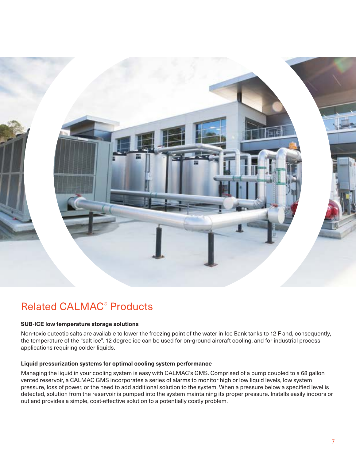

### Related CALMAC® Products

#### **SUB-ICE low temperature storage solutions**

Non-toxic eutectic salts are available to lower the freezing point of the water in Ice Bank tanks to 12 F and, consequently, the temperature of the "salt ice". 12 degree ice can be used for on-ground aircraft cooling, and for industrial process applications requiring colder liquids.

#### **Liquid pressurization systems for optimal cooling system performance**

Managing the liquid in your cooling system is easy with CALMAC's GMS. Comprised of a pump coupled to a 68 gallon vented reservoir, a CALMAC GMS incorporates a series of alarms to monitor high or low liquid levels, low system pressure, loss of power, or the need to add additional solution to the system. When a pressure below a specified level is detected, solution from the reservoir is pumped into the system maintaining its proper pressure. Installs easily indoors or out and provides a simple, cost-effective solution to a potentially costly problem.